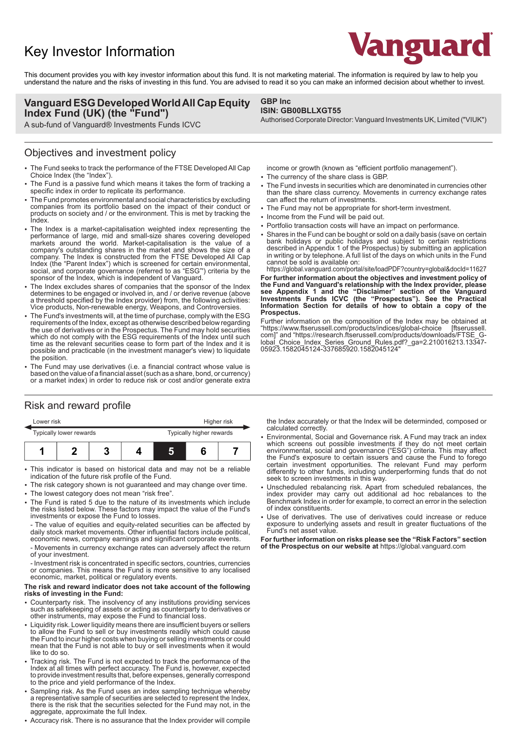# Key Investor Information



This document provides you with key investor information about this fund. It is not marketing material. The information is required by law to help you understand the nature and the risks of investing in this fund. You are advised to read it so you can make an informed decision about whether to invest.

**GBP Inc**

**ISIN: GB00BLLXGT55**

#### **Vanguard ESG Developed World All Cap Equity Index Fund (UK) (the "Fund")**

A sub-fund of Vanguard® Investments Funds ICVC

#### Objectives and investment policy

- The Fund seeks to track the performance of the FTSE Developed All Cap Choice Index (the "Index").
- The Fund is a passive fund which means it takes the form of tracking a specific index in order to replicate its performance.
- 2 The Fund promotes environmental and social characteristics by excluding companies from its portfolio based on the impact of their conduct or products on society and / or the environment. This is met by tracking the Index.
- The Index is a market-capitalisation weighted index representing the performance of large, mid and small-size shares covering developed markets around the world. Market-capitalisation is the value of a company's outstanding shares in the market and shows the size of a company. The Index is constructed from the FTSE Developed All Cap Index (the "Parent Index") which is screened for certain environmental, social, and corporate governance (referred to as "ESG"') criteria by the sponsor of the Index, which is independent of Vanguard.
- The Index excludes shares of companies that the sponsor of the Index determines to be engaged or involved in, and / or derive revenue (above a threshold specified by the Index provider) from, the following activities: Vice products, Non-renewable energy, Weapons, and Controversies.
- 2 The Fund's investments will, at the time of purchase, comply with the ESG requirements of the Index, except as otherwise described below regarding the use of derivatives or in the Prospectus. The Fund may hold securities which do not comply with the ESG requirements of the Index until such time as the relevant securities cease to form part of the Index and it is possible and practicable (in the investment manager's view) to liquidate the position.
- The Fund may use derivatives (i.e. a financial contract whose value is based on the value of a financial asset (such as a share, bond, or currency) or a market index) in order to reduce risk or cost and/or generate extra

# Risk and reward profile

| Lower risk              |  |  |  | Higher risk              |  |  |
|-------------------------|--|--|--|--------------------------|--|--|
| Typically lower rewards |  |  |  | Typically higher rewards |  |  |
|                         |  |  |  | L                        |  |  |

- This indicator is based on historical data and may not be a reliable indication of the future risk profile of the Fund.
- The risk category shown is not guaranteed and may change over time.
- The lowest category does not mean "risk free".
- 2 The Fund is rated 5 due to the nature of its investments which include the risks listed below. These factors may impact the value of the Fund's investments or expose the Fund to losses.

- The value of equities and equity-related securities can be affected by daily stock market movements. Other influential factors include political, economic news, company earnings and significant corporate events.

- Movements in currency exchange rates can adversely affect the return of your investment.

- Investment risk is concentrated in specific sectors, countries, currencies or companies. This means the Fund is more sensitive to any localised economic, market, political or regulatory events.

#### **The risk and reward indicator does not take account of the following risks of investing in the Fund:**

- 2 Counterparty risk. The insolvency of any institutions providing services such as safekeeping of assets or acting as counterparty to derivatives or other instruments, may expose the Fund to financial loss.
- Liquidity risk. Lower liquidity means there are insufficient buyers or sellers to allow the Fund to sell or buy investments readily which could cause the Fund to incur higher costs when buying or selling investments or could mean that the Fund is not able to buy or sell investments when it would like to do so.
- Tracking risk. The Fund is not expected to track the performance of the Index at all times with perfect accuracy. The Fund is, however, expected to provide investment results that, before expenses, generally correspond to the price and yield performance of the Index.
- Sampling risk. As the Fund uses an index sampling technique whereby a representative sample of securities are selected to represent the Index, there is the risk that the securities selected for the Fund may not, in the aggregate, approximate the full Index.
- 2 Accuracy risk. There is no assurance that the Index provider will compile

# income or growth (known as "efficient portfolio management").

- The currency of the share class is GBP.
- The Fund invests in securities which are denominated in currencies other than the share class currency. Movements in currency exchange rates can affect the return of investments.

Authorised Corporate Director: Vanguard Investments UK, Limited ("VIUK")

- The Fund may not be appropriate for short-term investment.
- Income from the Fund will be paid out.
- Portfolio transaction costs will have an impact on performance.
- 2 Shares in the Fund can be bought or sold on a daily basis (save on certain bank holidays or public holidays and subject to certain restrictions described in Appendix 1 of the Prospectus) by submitting an application in writing or by telephone. A full list of the days on which units in the Fund cannot be sold is available on:

https://global.vanguard.com/portal/site/loadPDF?country=global&docId=11627 **For further information about the objectives and investment policy of the Fund and Vanguard's relationship with the Index provider, please see Appendix 1 and the "Disclaimer" section of the Vanguard Investments Funds ICVC (the "Prospectus"). See the Practical Information Section for details of how to obtain a copy of the Prospectus.**

Further information on the composition of the Index may be obtained at "https://www.ftserussell.com/products/indices/global-choice [ftserussell. "https://www.ftserussell.com/products/indices/global-choice [ftserussell. com]" and "https://research.ftserussell.com/products/downloads/FTSE\_Global\_Choice\_Index\_Series\_Ground\_Rules.pdf?\_ga=2.210016213.13347- 05923.1582045124-337685920.1582045124"

the Index accurately or that the Index will be determinded, composed or calculated correctly.

- 2 Environmental, Social and Governance risk. A Fund may track an index which screens out possible investments if they do not meet certain environmental, social and governance ("ESG") criteria. This may affect the Fund's exposure to certain issuers and cause the Fund to forego certain investment opportunities. The relevant Fund may perform differently to other funds, including underperforming funds that do not seek to screen investments in this way.
- Unscheduled rebalancing risk. Apart from scheduled rebalances, the index provider may carry out additional ad hoc rebalances to the Benchmark Index in order for example, to correct an error in the selection of index constituents.
- Use of derivatives. The use of derivatives could increase or reduce exposure to underlying assets and result in greater fluctuations of the Fund's net asset value.

**For further information on risks please see the "Risk Factors" section of the Prospectus on our website at** https://global.vanguard.com